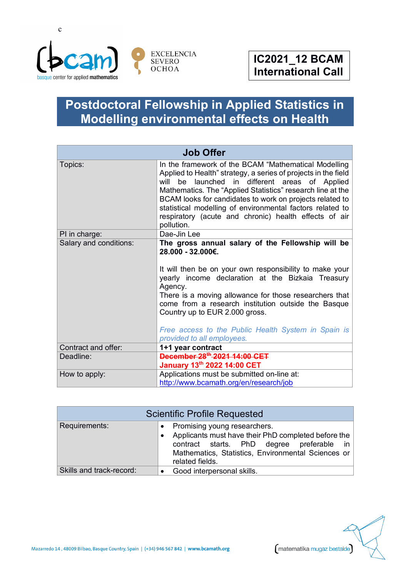

## **Postdoctoral Fellowship in Applied Statistics in Modelling environmental effects on Health**

| <b>Job Offer</b>       |                                                                                                                                                                                                                                                                                                                                                                                                                                           |
|------------------------|-------------------------------------------------------------------------------------------------------------------------------------------------------------------------------------------------------------------------------------------------------------------------------------------------------------------------------------------------------------------------------------------------------------------------------------------|
| Topics:                | In the framework of the BCAM "Mathematical Modelling<br>Applied to Health" strategy, a series of projects in the field<br>will be launched in different areas of Applied<br>Mathematics. The "Applied Statistics" research line at the<br>BCAM looks for candidates to work on projects related to<br>statistical modelling of environmental factors related to<br>respiratory (acute and chronic) health effects of air<br>pollution.    |
| PI in charge:          | Dae-Jin Lee                                                                                                                                                                                                                                                                                                                                                                                                                               |
| Salary and conditions: | The gross annual salary of the Fellowship will be<br>28.000 - 32.000€.<br>It will then be on your own responsibility to make your<br>yearly income declaration at the Bizkaia Treasury<br>Agency.<br>There is a moving allowance for those researchers that<br>come from a research institution outside the Basque<br>Country up to EUR 2.000 gross.<br>Free access to the Public Health System in Spain is<br>provided to all employees. |
| Contract and offer:    | 1+1 year contract                                                                                                                                                                                                                                                                                                                                                                                                                         |
| Deadline:              | December 28 <sup>th</sup> 2021 14:00 CET<br>January 13th 2022 14:00 CET                                                                                                                                                                                                                                                                                                                                                                   |
| How to apply:          | Applications must be submitted on-line at:<br>http://www.bcamath.org/en/research/job                                                                                                                                                                                                                                                                                                                                                      |

| <b>Scientific Profile Requested</b> |                                                                                                                                                                                                                 |
|-------------------------------------|-----------------------------------------------------------------------------------------------------------------------------------------------------------------------------------------------------------------|
| Requirements:                       | Promising young researchers.<br>Applicants must have their PhD completed before the<br>contract starts. PhD degree preferable<br>in in<br>Mathematics, Statistics, Environmental Sciences or<br>related fields. |
| Skills and track-record:            | Good interpersonal skills.                                                                                                                                                                                      |



matematika mugaz bestalde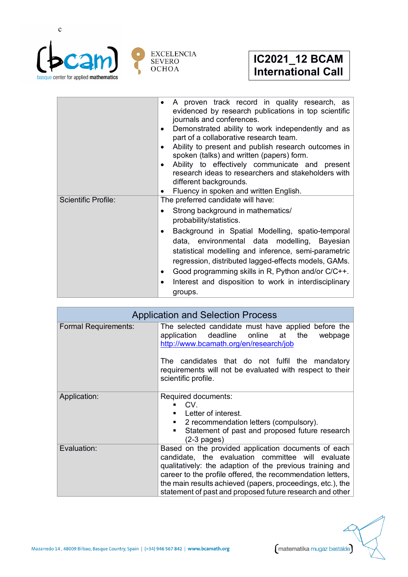

|                            | A proven track record in quality research, as<br>evidenced by research publications in top scientific<br>journals and conferences.<br>Demonstrated ability to work independently and as<br>part of a collaborative research team.<br>Ability to present and publish research outcomes in<br>spoken (talks) and written (papers) form.<br>Ability to effectively communicate and present<br>research ideas to researchers and stakeholders with<br>different backgrounds.<br>Fluency in spoken and written English. |
|----------------------------|--------------------------------------------------------------------------------------------------------------------------------------------------------------------------------------------------------------------------------------------------------------------------------------------------------------------------------------------------------------------------------------------------------------------------------------------------------------------------------------------------------------------|
| <b>Scientific Profile:</b> | The preferred candidate will have:<br>Strong background in mathematics/<br>$\bullet$<br>probability/statistics.<br>Background in Spatial Modelling, spatio-temporal<br>data, environmental data modelling, Bayesian<br>statistical modelling and inference, semi-parametric<br>regression, distributed lagged-effects models, GAMs.<br>Good programming skills in R, Python and/or C/C++.<br>Interest and disposition to work in interdisciplinary<br>groups.                                                      |

| <b>Application and Selection Process</b> |                                                                                                                                                                                                                                                                                                                                                              |
|------------------------------------------|--------------------------------------------------------------------------------------------------------------------------------------------------------------------------------------------------------------------------------------------------------------------------------------------------------------------------------------------------------------|
| <b>Formal Requirements:</b>              | The selected candidate must have applied before the<br>application deadline online at the<br>webpage<br>http://www.bcamath.org/en/research/job<br>The candidates that do not fulfil the mandatory<br>requirements will not be evaluated with respect to their<br>scientific profile.                                                                         |
| Application:                             | Required documents:<br>CV.<br>Letter of interest.<br>■ 2 recommendation letters (compulsory).<br>Statement of past and proposed future research<br>٠<br>$(2-3 \text{ pages})$                                                                                                                                                                                |
| Evaluation:                              | Based on the provided application documents of each<br>candidate, the evaluation committee will evaluate<br>qualitatively: the adaption of the previous training and<br>career to the profile offered, the recommendation letters,<br>the main results achieved (papers, proceedings, etc.), the<br>statement of past and proposed future research and other |

matematika mugaz bestalde